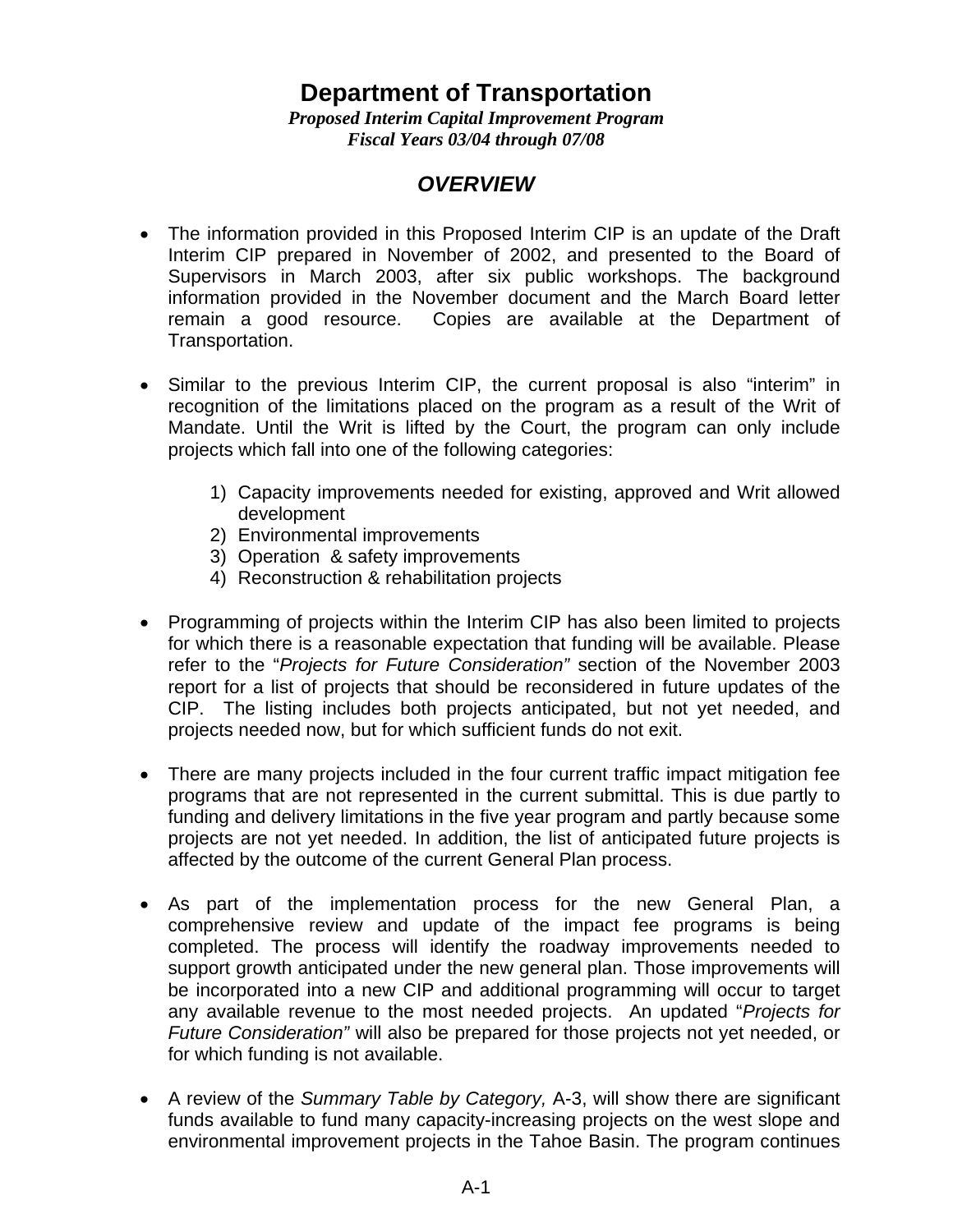## **Department of Transportation**

*Proposed Interim Capital Improvement Program Fiscal Years 03/04 through 07/08* 

## *OVERVIEW*

- The information provided in this Proposed Interim CIP is an update of the Draft Interim CIP prepared in November of 2002, and presented to the Board of Supervisors in March 2003, after six public workshops. The background information provided in the November document and the March Board letter remain a good resource. Copies are available at the Department of Transportation.
- Similar to the previous Interim CIP, the current proposal is also "interim" in recognition of the limitations placed on the program as a result of the Writ of Mandate. Until the Writ is lifted by the Court, the program can only include projects which fall into one of the following categories:
	- 1) Capacity improvements needed for existing, approved and Writ allowed development
	- 2) Environmental improvements
	- 3) Operation & safety improvements
	- 4) Reconstruction & rehabilitation projects
- Programming of projects within the Interim CIP has also been limited to projects for which there is a reasonable expectation that funding will be available. Please refer to the "*Projects for Future Consideration"* section of the November 2003 report for a list of projects that should be reconsidered in future updates of the CIP. The listing includes both projects anticipated, but not yet needed, and projects needed now, but for which sufficient funds do not exit.
- There are many projects included in the four current traffic impact mitigation fee programs that are not represented in the current submittal. This is due partly to funding and delivery limitations in the five year program and partly because some projects are not yet needed. In addition, the list of anticipated future projects is affected by the outcome of the current General Plan process.
- As part of the implementation process for the new General Plan, a comprehensive review and update of the impact fee programs is being completed. The process will identify the roadway improvements needed to support growth anticipated under the new general plan. Those improvements will be incorporated into a new CIP and additional programming will occur to target any available revenue to the most needed projects. An updated "*Projects for Future Consideration"* will also be prepared for those projects not yet needed, or for which funding is not available.
- A review of the *Summary Table by Category,* A-3, will show there are significant funds available to fund many capacity-increasing projects on the west slope and environmental improvement projects in the Tahoe Basin. The program continues